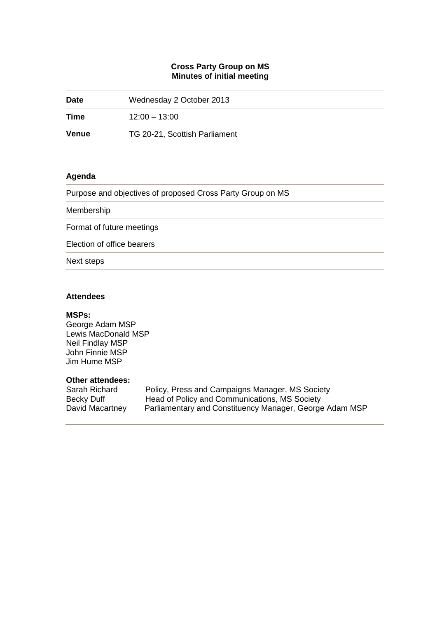# **Cross Party Group on MS Minutes of initial meeting**

| <b>Date</b>  | Wednesday 2 October 2013                                   |
|--------------|------------------------------------------------------------|
| Time         | $12:00 - 13:00$                                            |
| <b>Venue</b> | TG 20-21, Scottish Parliament                              |
|              |                                                            |
| Agenda       |                                                            |
|              | Purpose and objectives of proposed Cross Party Group on MS |
| Membership   |                                                            |
|              | Format of future meetings                                  |
|              | Election of office bearers                                 |
| Next steps   |                                                            |

## **Attendees**

## **MSPs:**

George Adam MSP Lewis MacDonald MSP Neil Findlay MSP John Finnie MSP Jim Hume MSP

## **Other attendees:**

| Sarah Richard   | Policy, Press and Campaigns Manager, MS Society         |
|-----------------|---------------------------------------------------------|
| Becky Duff      | Head of Policy and Communications, MS Society           |
| David Macartney | Parliamentary and Constituency Manager, George Adam MSP |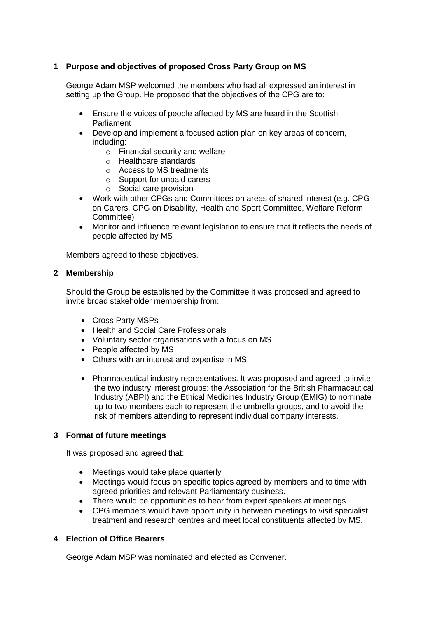# **1 Purpose and objectives of proposed Cross Party Group on MS**

George Adam MSP welcomed the members who had all expressed an interest in setting up the Group. He proposed that the objectives of the CPG are to:

- Ensure the voices of people affected by MS are heard in the Scottish Parliament
- Develop and implement a focused action plan on key areas of concern, including:
	- o Financial security and welfare
	- o Healthcare standards
	- o Access to MS treatments
	- o Support for unpaid carers
	- o Social care provision
- Work with other CPGs and Committees on areas of shared interest (e.g. CPG on Carers, CPG on Disability, Health and Sport Committee, Welfare Reform Committee)
- Monitor and influence relevant legislation to ensure that it reflects the needs of people affected by MS

Members agreed to these objectives.

### **2 Membership**

Should the Group be established by the Committee it was proposed and agreed to invite broad stakeholder membership from:

- Cross Party MSPs
- Health and Social Care Professionals
- Voluntary sector organisations with a focus on MS
- People affected by MS
- Others with an interest and expertise in MS
- Pharmaceutical industry representatives. It was proposed and agreed to invite the two industry interest groups: the Association for the British Pharmaceutical Industry (ABPI) and the Ethical Medicines Industry Group (EMIG) to nominate up to two members each to represent the umbrella groups, and to avoid the risk of members attending to represent individual company interests.

### **3 Format of future meetings**

It was proposed and agreed that:

- Meetings would take place quarterly
- Meetings would focus on specific topics agreed by members and to time with agreed priorities and relevant Parliamentary business.
- There would be opportunities to hear from expert speakers at meetings
- CPG members would have opportunity in between meetings to visit specialist treatment and research centres and meet local constituents affected by MS.

### **4 Election of Office Bearers**

George Adam MSP was nominated and elected as Convener.